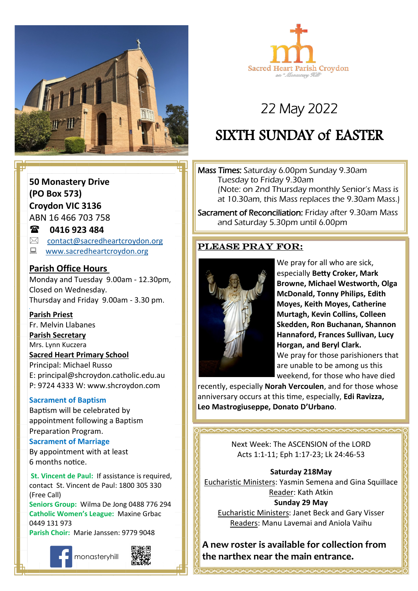



# 22 May 2022

# SIXTH SUNDAY of EASTER

Mass Times: Saturday 6.00pm Sunday 9.30am Tuesday to Friday 9.30am (Note: on 2nd Thursday monthly Senior's Mass is at 10.30am, this Mass replaces the 9.30am Mass.)

Sacrament of Reconciliation: Friday after 9.30am Mass and Saturday 5.30pm until 6.00pm

## Please pray for:



**Come, follow me.** especially **Betty Croker, Mark**  We pray for all who are sick, **Browne, Michael Westworth, Olga McDonald, Tonny Philips, Edith Moyes, Keith Moyes, Catherine Murtagh, Kevin Collins, Colleen Skedden, Ron Buchanan, Shannon Hannaford, Frances Sullivan, Lucy Horgan, and Beryl Clark.** We pray for those parishioners that are unable to be among us this weekend, for those who have died

recently, especially **Norah Vercoulen**, and for those whose anniversary occurs at this time, especially, **Edi Ravizza, Leo Mastrogiuseppe, Donato D'Urbano**.

> Next Week: The ASCENSION of the LORD Acts 1:1-11; Eph 1:17-23; Lk 24:46-53

### **Saturday 218May**

Eucharistic Ministers: Yasmin Semena and Gina Squillace Reader: Kath Atkin **Sunday 29 May**

Eucharistic Ministers: Janet Beck and Gary Visser Readers: Manu Lavemai and Aniola Vaihu

**A new roster is available for collection from the narthex near the main entrance.**

## **50 Monastery Drive (PO Box 573) Croydon VIC 3136**

ABN 16 466 703 758

### **0416 923 484**

- $\boxtimes$  [contact@sacredheartcroydon.org](mailto:contact@sacredheartcroydon.org)
- **WWW.sacredheartcroydon.org**

### **Parish Office Hours**

Monday and Tuesday 9.00am - 12.30pm, Closed on Wednesday. Thursday and Friday 9.00am - 3.30 pm.

### **Parish Priest**

Fr. Melvin Llabanes

### **Parish Secretary**

Mrs. Lynn Kuczera

### **Sacred Heart Primary School**

Principal: Michael Russo E: principal@shcroydon.catholic.edu.au P: 9724 4333 W: www.shcroydon.com

### **Sacrament of Baptism**

Baptism will be celebrated by appointment following a Baptism Preparation Program.

### **Sacrament of Marriage**

By appointment with at least 6 months notice.

 **St. Vincent de Paul:** If assistance is required, contact St. Vincent de Paul: 1800 305 330 (Free Call)

**Seniors Group:** Wilma De Jong 0488 776 294 **Catholic Women's League:** Maxine Grbac 0449 131 973 **Parish Choir:** Marie Janssen: 9779 9048